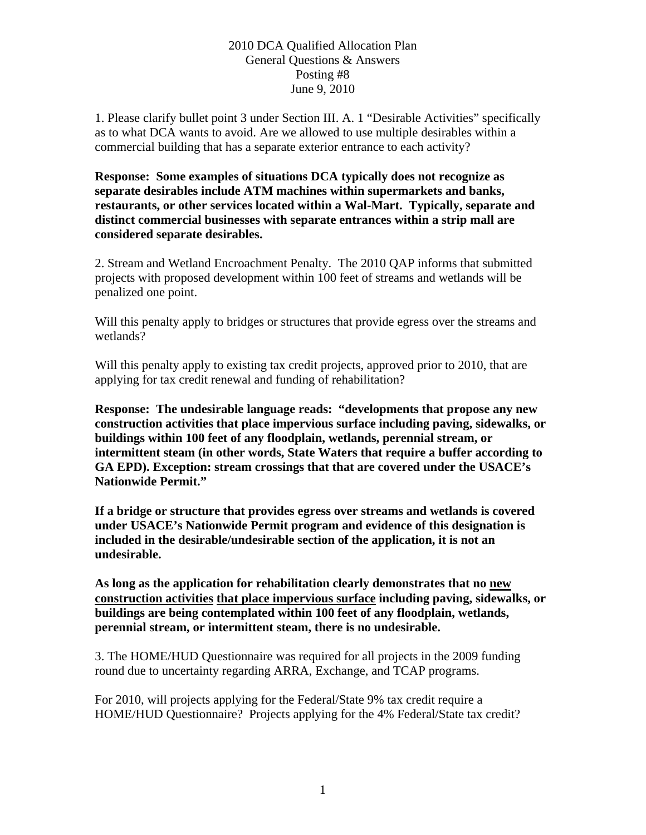# 2010 DCA Qualified Allocation Plan General Questions & Answers Posting #8 June 9, 2010

1. Please clarify bullet point 3 under Section III. A. 1 "Desirable Activities" specifically as to what DCA wants to avoid. Are we allowed to use multiple desirables within a commercial building that has a separate exterior entrance to each activity?

**Response: Some examples of situations DCA typically does not recognize as separate desirables include ATM machines within supermarkets and banks, restaurants, or other services located within a Wal-Mart. Typically, separate and distinct commercial businesses with separate entrances within a strip mall are considered separate desirables.** 

2. Stream and Wetland Encroachment Penalty. The 2010 QAP informs that submitted projects with proposed development within 100 feet of streams and wetlands will be penalized one point.

Will this penalty apply to bridges or structures that provide egress over the streams and wetlands?

Will this penalty apply to existing tax credit projects, approved prior to 2010, that are applying for tax credit renewal and funding of rehabilitation?

**Response: The undesirable language reads: "developments that propose any new construction activities that place impervious surface including paving, sidewalks, or buildings within 100 feet of any floodplain, wetlands, perennial stream, or intermittent steam (in other words, State Waters that require a buffer according to GA EPD). Exception: stream crossings that that are covered under the USACE's Nationwide Permit."** 

**If a bridge or structure that provides egress over streams and wetlands is covered under USACE's Nationwide Permit program and evidence of this designation is included in the desirable/undesirable section of the application, it is not an undesirable.** 

**As long as the application for rehabilitation clearly demonstrates that no new construction activities that place impervious surface including paving, sidewalks, or buildings are being contemplated within 100 feet of any floodplain, wetlands, perennial stream, or intermittent steam, there is no undesirable.** 

3. The HOME/HUD Questionnaire was required for all projects in the 2009 funding round due to uncertainty regarding ARRA, Exchange, and TCAP programs.

For 2010, will projects applying for the Federal/State 9% tax credit require a HOME/HUD Questionnaire? Projects applying for the 4% Federal/State tax credit?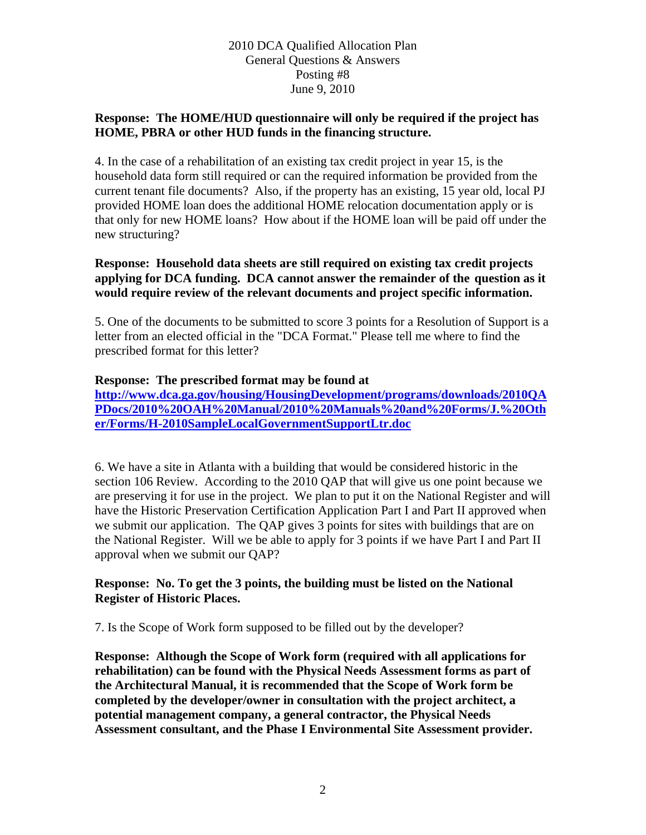# 2010 DCA Qualified Allocation Plan General Questions & Answers Posting #8 June 9, 2010

### **Response: The HOME/HUD questionnaire will only be required if the project has HOME, PBRA or other HUD funds in the financing structure.**

4. In the case of a rehabilitation of an existing tax credit project in year 15, is the household data form still required or can the required information be provided from the current tenant file documents? Also, if the property has an existing, 15 year old, local PJ provided HOME loan does the additional HOME relocation documentation apply or is that only for new HOME loans? How about if the HOME loan will be paid off under the new structuring?

**Response: Household data sheets are still required on existing tax credit projects applying for DCA funding. DCA cannot answer the remainder of the question as it would require review of the relevant documents and project specific information.** 

5. One of the documents to be submitted to score 3 points for a Resolution of Support is a letter from an elected official in the "DCA Format." Please tell me where to find the prescribed format for this letter?

#### **Response: The prescribed format may be found at**

**[http://www.dca.ga.gov/housing/HousingDevelopment/programs/downloads/2010QA](http://www.dca.ga.gov/housing/HousingDevelopment/programs/downloads/2010QAPDocs/2010%20OAH%20Manual/2010%20Manuals%20and%20Forms/J.%20Other/Forms/H-2010SampleLocalGovernmentSupportLtr.doc) [PDocs/2010%20OAH%20Manual/2010%20Manuals%20and%20Forms/J.%20Oth](http://www.dca.ga.gov/housing/HousingDevelopment/programs/downloads/2010QAPDocs/2010%20OAH%20Manual/2010%20Manuals%20and%20Forms/J.%20Other/Forms/H-2010SampleLocalGovernmentSupportLtr.doc) [er/Forms/H-2010SampleLocalGovernmentSupportLtr.doc](http://www.dca.ga.gov/housing/HousingDevelopment/programs/downloads/2010QAPDocs/2010%20OAH%20Manual/2010%20Manuals%20and%20Forms/J.%20Other/Forms/H-2010SampleLocalGovernmentSupportLtr.doc)**

6. We have a site in Atlanta with a building that would be considered historic in the section 106 Review. According to the 2010 QAP that will give us one point because we are preserving it for use in the project. We plan to put it on the National Register and will have the Historic Preservation Certification Application Part I and Part II approved when we submit our application. The QAP gives 3 points for sites with buildings that are on the National Register. Will we be able to apply for 3 points if we have Part I and Part II approval when we submit our QAP?

### **Response: No. To get the 3 points, the building must be listed on the National Register of Historic Places.**

7. Is the Scope of Work form supposed to be filled out by the developer?

**Response: Although the Scope of Work form (required with all applications for rehabilitation) can be found with the Physical Needs Assessment forms as part of the Architectural Manual, it is recommended that the Scope of Work form be completed by the developer/owner in consultation with the project architect, a potential management company, a general contractor, the Physical Needs Assessment consultant, and the Phase I Environmental Site Assessment provider.**